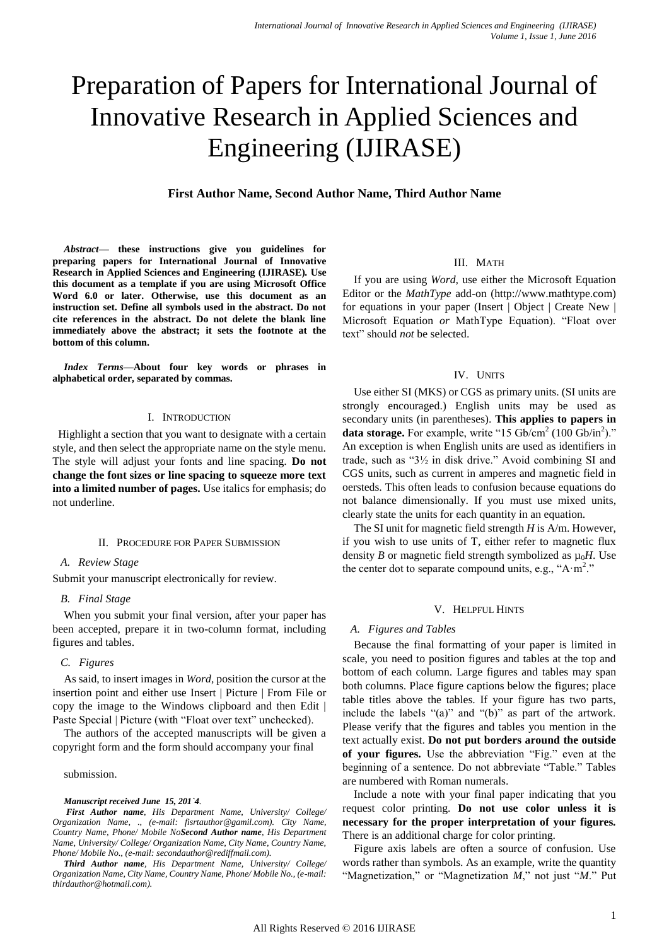# Preparation of Papers for International Journal of Innovative Research in Applied Sciences and Engineering (IJIRASE)

# **First Author Name, Second Author Name, Third Author Name**

*Abstract***— these instructions give you guidelines for preparing papers for International Journal of Innovative Research in Applied Sciences and Engineering (IJIRASE)***.* **Use this document as a template if you are using Microsoft Office Word 6.0 or later. Otherwise, use this document as an instruction set. Define all symbols used in the abstract. Do not cite references in the abstract. Do not delete the blank line immediately above the abstract; it sets the footnote at the bottom of this column.**

*Index Terms***—About four key words or phrases in alphabetical order, separated by commas.** 

#### I. INTRODUCTION

 Highlight a section that you want to designate with a certain style, and then select the appropriate name on the style menu. The style will adjust your fonts and line spacing. **Do not change the font sizes or line spacing to squeeze more text into a limited number of pages.** Use italics for emphasis; do not underline.

## II. PROCEDURE FOR PAPER SUBMISSION

## *A. Review Stage*

Submit your manuscript electronically for review.

#### *B. Final Stage*

When you submit your final version, after your paper has been accepted, prepare it in two-column format, including figures and tables.

## *C. Figures*

As said, to insert images in *Word,* position the cursor at the insertion point and either use Insert | Picture | From File or copy the image to the Windows clipboard and then Edit | Paste Special | Picture (with "Float over text" unchecked).

The authors of the accepted manuscripts will be given a copyright form and the form should accompany your final

#### submission.

#### *Manuscript received June 15, 201`4.*

*First Author name, His Department Name, University/ College/ Organization Name, ., (e-mail: fisrtauthor@gamil.com). City Name, Country Name, Phone/ Mobile NoSecond Author name, His Department Name, University/ College/ Organization Name, City Name, Country Name, Phone/ Mobile No., (e-mail: secondauthor@rediffmail.com).*

*Third Author name, His Department Name, University/ College/ Organization Name, City Name, Country Name, Phone/ Mobile No., (e-mail: thirdauthor@hotmail.com).*

#### III. MATH

If you are using *Word,* use either the Microsoft Equation Editor or the *MathType* add-on (http://www.mathtype.com) for equations in your paper (Insert | Object | Create New | Microsoft Equation *or* MathType Equation). "Float over text" should *not* be selected.

#### IV. UNITS

Use either SI (MKS) or CGS as primary units. (SI units are strongly encouraged.) English units may be used as secondary units (in parentheses). **This applies to papers in data storage.** For example, write " $15$   $\text{Gb/cm}^2$   $(100 \text{ Gb/in}^2)$ ." An exception is when English units are used as identifiers in trade, such as " $3\frac{1}{2}$  in disk drive." Avoid combining SI and CGS units, such as current in amperes and magnetic field in oersteds. This often leads to confusion because equations do not balance dimensionally. If you must use mixed units, clearly state the units for each quantity in an equation.

The SI unit for magnetic field strength *H* is A/m. However, if you wish to use units of T, either refer to magnetic flux density *B* or magnetic field strength symbolized as  $\mu_0H$ . Use the center dot to separate compound units, e.g., "A $\cdot$ m<sup>2</sup>."

#### V. HELPFUL HINTS

#### *A. Figures and Tables*

Because the final formatting of your paper is limited in scale, you need to position figures and tables at the top and bottom of each column. Large figures and tables may span both columns. Place figure captions below the figures; place table titles above the tables. If your figure has two parts, include the labels "(a)" and "(b)" as part of the artwork. Please verify that the figures and tables you mention in the text actually exist. **Do not put borders around the outside**  of your figures. Use the abbreviation "Fig." even at the beginning of a sentence. Do not abbreviate "Table." Tables are numbered with Roman numerals.

Include a note with your final paper indicating that you request color printing. **Do not use color unless it is necessary for the proper interpretation of your figures.** There is an additional charge for color printing.

Figure axis labels are often a source of confusion. Use words rather than symbols. As an example, write the quantity "Magnetization," or "Magnetization *M*," not just "*M*." Put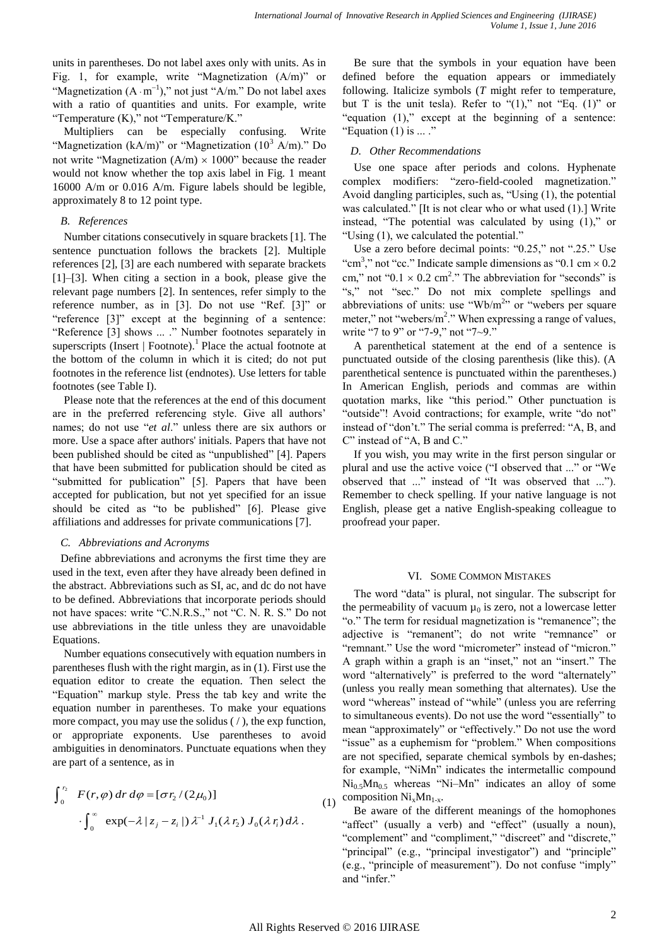units in parentheses. Do not label axes only with units. As in Fig. 1, for example, write "Magnetization  $(A/m)$ " or "Magnetization  $(A \cdot m^{-1})$ ," not just "A/m." Do not label axes with a ratio of quantities and units. For example, write "Temperature  $(K)$ ," not "Temperature/K."

Multipliers can be especially confusing. Write "Magnetization (kA/m)" or "Magnetization (10<sup>3</sup> A/m)." Do not write "Magnetization  $(A/m) \times 1000$ " because the reader would not know whether the top axis label in Fig. 1 meant 16000 A/m or 0.016 A/m. Figure labels should be legible, approximately 8 to 12 point type.

# *B. References*

Number citations consecutively in square brackets [1]. The sentence punctuation follows the brackets [2]. Multiple references [2], [3] are each numbered with separate brackets [1]–[3]. When citing a section in a book, please give the relevant page numbers [2]. In sentences, refer simply to the reference number, as in  $[3]$ . Do not use "Ref.  $[3]$ " or "reference  $[3]$ " except at the beginning of a sentence: "Reference [3] shows ... ." Number footnotes separately in superscripts (Insert  $\vert$  Footnote).<sup>1</sup> Place the actual footnote at the bottom of the column in which it is cited; do not put footnotes in the reference list (endnotes). Use letters for table footnotes (see Table I).

Please note that the references at the end of this document are in the preferred referencing style. Give all authors' names; do not use "*et al.*" unless there are six authors or more. Use a space after authors' initials. Papers that have not been published should be cited as "unpublished" [4]. Papers that have been submitted for publication should be cited as "submitted for publication" [5]. Papers that have been accepted for publication, but not yet specified for an issue should be cited as "to be published" [6]. Please give affiliations and addresses for private communications [7].

## *C. Abbreviations and Acronyms*

Define abbreviations and acronyms the first time they are used in the text, even after they have already been defined in the abstract. Abbreviations such as SI, ac, and dc do not have to be defined. Abbreviations that incorporate periods should not have spaces: write "C.N.R.S.," not "C. N. R. S." Do not use abbreviations in the title unless they are unavoidable Equations.

Number equations consecutively with equation numbers in parentheses flush with the right margin, as in (1). First use the equation editor to create the equation. Then select the ―Equation‖ markup style. Press the tab key and write the equation number in parentheses. To make your equations more compact, you may use the solidus ( / ), the exp function, or appropriate exponents. Use parentheses to avoid ambiguities in denominators. Punctuate equations when they are part of a sentence, as in

$$
\int_0^{r_2} F(r,\varphi) dr d\varphi = [\sigma r_2 / (2\mu_0)]
$$

$$
\int_0^{\infty} \exp(-\lambda |z_j - z_i|) \lambda^{-1} J_1(\lambda r_2) J_0(\lambda r_i) d\lambda.
$$

Be sure that the symbols in your equation have been defined before the equation appears or immediately following. Italicize symbols (*T* might refer to temperature, but T is the unit tesla). Refer to " $(1)$ ," not "Eq.  $(1)$ " or "equation  $(1)$ ," except at the beginning of a sentence: "Equation  $(1)$  is ... ."

# *D. Other Recommendations*

Use one space after periods and colons. Hyphenate complex modifiers: "zero-field-cooled magnetization." Avoid dangling participles, such as,  $\sqrt{\text{Using (1)}}$ , the potential was calculated." [It is not clear who or what used  $(1)$ .] Write instead, "The potential was calculated by using  $(1)$ ," or "Using  $(1)$ , we calculated the potential."

Use a zero before decimal points:  $"0.25,"$  not  $"0.25."$  Use "cm<sup>3</sup>," not "cc." Indicate sample dimensions as "0.1 cm  $\times$  0.2 cm," not " $0.1 \times 0.2$  cm<sup>2</sup>." The abbreviation for "seconds" is "s," not "sec." Do not mix complete spellings and abbreviations of units: use "Wb/ $m<sup>2</sup>$ " or "webers per square meter," not "webers/ $m^2$ ." When expressing a range of values, write "7 to 9" or "7-9," not "7~9."

A parenthetical statement at the end of a sentence is punctuated outside of the closing parenthesis (like this). (A parenthetical sentence is punctuated within the parentheses.) In American English, periods and commas are within quotation marks, like "this period." Other punctuation is "outside"! Avoid contractions: for example, write "do not" instead of "don't." The serial comma is preferred: "A, B, and C" instead of "A, B and C."

If you wish, you may write in the first person singular or plural and use the active voice ("I observed that ..." or "We observed that ..." instead of "It was observed that ..."). Remember to check spelling. If your native language is not English, please get a native English-speaking colleague to proofread your paper.

## VI. SOME COMMON MISTAKES

(1) composition  $Ni_xMn_{1-x}$ . The word "data" is plural, not singular. The subscript for the permeability of vacuum  $\mu_0$  is zero, not a lowercase letter "o." The term for residual magnetization is "remanence"; the adjective is "remanent"; do not write "remnance" or "remnant." Use the word "micrometer" instead of "micron." A graph within a graph is an "inset," not an "insert." The word "alternatively" is preferred to the word "alternately" (unless you really mean something that alternates). Use the word "whereas" instead of "while" (unless you are referring to simultaneous events). Do not use the word "essentially" to mean "approximately" or "effectively." Do not use the word "issue" as a euphemism for "problem." When compositions are not specified, separate chemical symbols by en-dashes; for example, "NiMn" indicates the intermetallic compound  $Ni<sub>0.5</sub>Mn<sub>0.5</sub>$  whereas "Ni–Mn" indicates an alloy of some

Be aware of the different meanings of the homophones "affect" (usually a verb) and "effect" (usually a noun), "complement" and "compliment," "discreet" and "discrete," "principal" (e.g., "principal investigator") and "principle" (e.g., "principle of measurement"). Do not confuse "imply" and "infer."